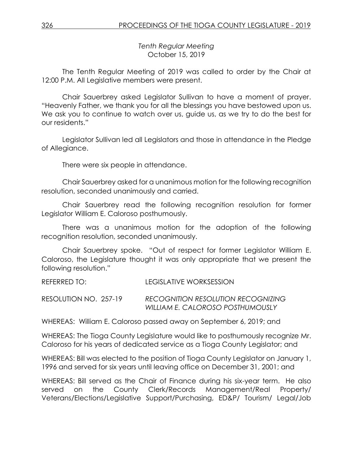*Tenth Regular Meeting* October 15, 2019

The Tenth Regular Meeting of 2019 was called to order by the Chair at 12:00 P.M. All Legislative members were present.

Chair Sauerbrey asked Legislator Sullivan to have a moment of prayer. "Heavenly Father, we thank you for all the blessings you have bestowed upon us. We ask you to continue to watch over us, guide us, as we try to do the best for our residents."

Legislator Sullivan led all Legislators and those in attendance in the Pledge of Allegiance.

There were six people in attendance.

Chair Sauerbrey asked for a unanimous motion for the following recognition resolution, seconded unanimously and carried.

Chair Sauerbrey read the following recognition resolution for former Legislator William E. Caloroso posthumously.

There was a unanimous motion for the adoption of the following recognition resolution, seconded unanimously.

Chair Sauerbrey spoke. "Out of respect for former Legislator William E. Caloroso, the Legislature thought it was only appropriate that we present the following resolution."

REFERRED TO: LEGISLATIVE WORKSESSION

RESOLUTION NO. 257-19 *RECOGNITION RESOLUTION RECOGNIZING WILLIAM E. CALOROSO POSTHUMOUSLY*

WHEREAS: William E. Caloroso passed away on September 6, 2019; and

WHEREAS: The Tioga County Legislature would like to posthumously recognize Mr. Caloroso for his years of dedicated service as a Tioga County Legislator; and

WHEREAS: Bill was elected to the position of Tioga County Legislator on January 1, 1996 and served for six years until leaving office on December 31, 2001; and

WHEREAS: Bill served as the Chair of Finance during his six-year term. He also served on the County Clerk/Records Management/Real Property/ Veterans/Elections/Legislative Support/Purchasing, ED&P/ Tourism/ Legal/Job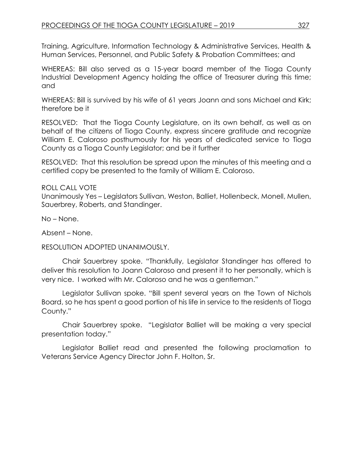Training, Agriculture, Information Technology & Administrative Services, Health & Human Services, Personnel, and Public Safety & Probation Committees; and

WHEREAS: Bill also served as a 15-year board member of the Tioga County Industrial Development Agency holding the office of Treasurer during this time; and

WHEREAS: Bill is survived by his wife of 61 years Joann and sons Michael and Kirk; therefore be it

RESOLVED: That the Tioga County Legislature, on its own behalf, as well as on behalf of the citizens of Tioga County, express sincere gratitude and recognize William E. Caloroso posthumously for his years of dedicated service to Tioga County as a Tioga County Legislator; and be it further

RESOLVED: That this resolution be spread upon the minutes of this meeting and a certified copy be presented to the family of William E. Caloroso.

### ROLL CALL VOTE

Unanimously Yes – Legislators Sullivan, Weston, Balliet, Hollenbeck, Monell, Mullen, Sauerbrey, Roberts, and Standinger.

No – None.

Absent – None.

### RESOLUTION ADOPTED UNANIMOUSLY.

Chair Sauerbrey spoke. "Thankfully, Legislator Standinger has offered to deliver this resolution to Joann Caloroso and present it to her personally, which is very nice. I worked with Mr. Caloroso and he was a gentleman."

Legislator Sullivan spoke. "Bill spent several years on the Town of Nichols Board, so he has spent a good portion of his life in service to the residents of Tioga County."

Chair Sauerbrey spoke. "Legislator Balliet will be making a very special presentation today."

Legislator Balliet read and presented the following proclamation to Veterans Service Agency Director John F. Holton, Sr.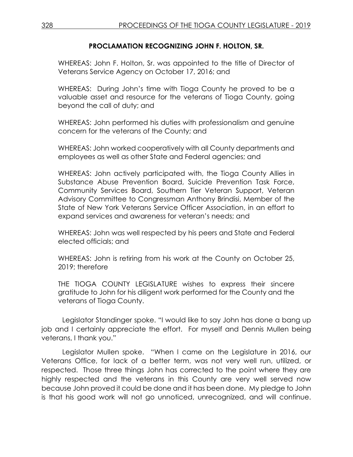## **PROCLAMATION RECOGNIZING JOHN F. HOLTON, SR.**

WHEREAS: John F. Holton, Sr. was appointed to the title of Director of Veterans Service Agency on October 17, 2016; and

WHEREAS: During John's time with Tioga County he proved to be a valuable asset and resource for the veterans of Tioga County, going beyond the call of duty; and

WHEREAS: John performed his duties with professionalism and genuine concern for the veterans of the County; and

WHEREAS: John worked cooperatively with all County departments and employees as well as other State and Federal agencies; and

WHEREAS: John actively participated with, the Tioga County Allies in Substance Abuse Prevention Board, Suicide Prevention Task Force, Community Services Board, Southern Tier Veteran Support, Veteran Advisory Committee to Congressman Anthony Brindisi, Member of the State of New York Veterans Service Officer Association, in an effort to expand services and awareness for veteran's needs; and

WHEREAS: John was well respected by his peers and State and Federal elected officials; and

WHEREAS: John is retiring from his work at the County on October 25, 2019; therefore

THE TIOGA COUNTY LEGISLATURE wishes to express their sincere gratitude to John for his diligent work performed for the County and the veterans of Tioga County.

Legislator Standinger spoke. "I would like to say John has done a bang up job and I certainly appreciate the effort. For myself and Dennis Mullen being veterans, I thank you."

Legislator Mullen spoke. "When I came on the Legislature in 2016, our Veterans Office, for lack of a better term, was not very well run, utilized, or respected. Those three things John has corrected to the point where they are highly respected and the veterans in this County are very well served now because John proved it could be done and it has been done. My pledge to John is that his good work will not go unnoticed, unrecognized, and will continue.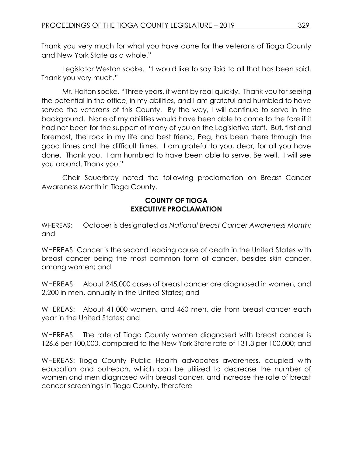Thank you very much for what you have done for the veterans of Tioga County and New York State as a whole."

Legislator Weston spoke. "I would like to say ibid to all that has been said. Thank you very much."

Mr. Holton spoke. "Three years, it went by real quickly. Thank you for seeing the potential in the office, in my abilities, and I am grateful and humbled to have served the veterans of this County. By the way, I will continue to serve in the background. None of my abilities would have been able to come to the fore if it had not been for the support of many of you on the Legislative staff. But, first and foremost, the rock in my life and best friend, Peg, has been there through the good times and the difficult times. I am grateful to you, dear, for all you have done. Thank you. I am humbled to have been able to serve. Be well. I will see you around. Thank you."

Chair Sauerbrey noted the following proclamation on Breast Cancer Awareness Month in Tioga County.

# **COUNTY OF TIOGA EXECUTIVE PROCLAMATION**

WHEREAS: October is designated as *National Breast Cancer Awareness Month;*  and

WHEREAS: Cancer is the second leading cause of death in the United States with breast cancer being the most common form of cancer, besides skin cancer, among women; and

WHEREAS: About 245,000 cases of breast cancer are diagnosed in women, and 2,200 in men, annually in the United States; and

WHEREAS: About 41,000 women, and 460 men, die from breast cancer each year in the United States; and

WHEREAS: The rate of Tioga County women diagnosed with breast cancer is 126.6 per 100,000, compared to the New York State rate of 131.3 per 100,000; and

WHEREAS: Tioga County Public Health advocates awareness, coupled with education and outreach, which can be utilized to decrease the number of women and men diagnosed with breast cancer, and increase the rate of breast cancer screenings in Tioga County, therefore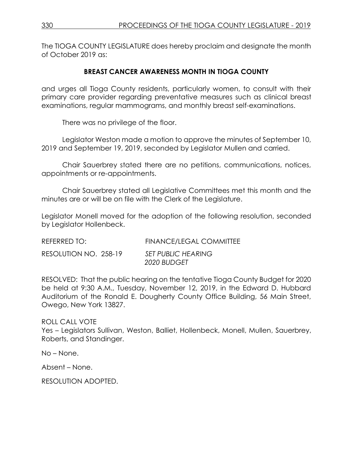The TIOGA COUNTY LEGISLATURE does hereby proclaim and designate the month of October 2019 as:

### **BREAST CANCER AWARENESS MONTH IN TIOGA COUNTY**

and urges all Tioga County residents, particularly women, to consult with their primary care provider regarding preventative measures such as clinical breast examinations, regular mammograms, and monthly breast self-examinations.

There was no privilege of the floor.

Legislator Weston made a motion to approve the minutes of September 10, 2019 and September 19, 2019, seconded by Legislator Mullen and carried.

Chair Sauerbrey stated there are no petitions, communications, notices, appointments or re-appointments.

Chair Sauerbrey stated all Legislative Committees met this month and the minutes are or will be on file with the Clerk of the Legislature.

Legislator Monell moved for the adoption of the following resolution, seconded by Legislator Hollenbeck.

| REFERRED TO:          | <b>FINANCE/LEGAL COMMITTEE</b>           |
|-----------------------|------------------------------------------|
| RESOLUTION NO. 258-19 | <b>SET PUBLIC HEARING</b><br>2020 BUDGET |

RESOLVED: That the public hearing on the tentative Tioga County Budget for 2020 be held at 9:30 A.M., Tuesday, November 12, 2019, in the Edward D. Hubbard Auditorium of the Ronald E. Dougherty County Office Building, 56 Main Street, Owego, New York 13827.

ROLL CALL VOTE Yes – Legislators Sullivan, Weston, Balliet, Hollenbeck, Monell, Mullen, Sauerbrey, Roberts, and Standinger.

No – None.

Absent – None.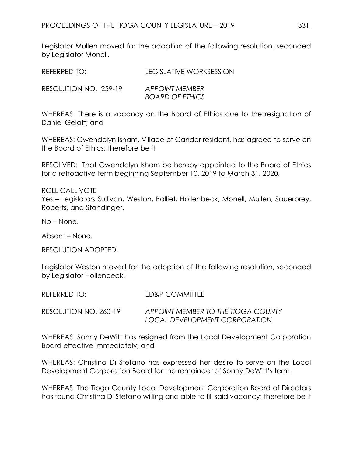Legislator Mullen moved for the adoption of the following resolution, seconded by Legislator Monell.

| REFERRED TO:          | <b>LEGISLATIVE WORKSESSION</b>           |
|-----------------------|------------------------------------------|
| RESOLUTION NO. 259-19 | APPOINT MEMBER<br><b>BOARD OF ETHICS</b> |

WHEREAS: There is a vacancy on the Board of Ethics due to the resignation of Daniel Gelatt; and

WHEREAS: Gwendolyn Isham, Village of Candor resident, has agreed to serve on the Board of Ethics; therefore be it

RESOLVED: That Gwendolyn Isham be hereby appointed to the Board of Ethics for a retroactive term beginning September 10, 2019 to March 31, 2020.

ROLL CALL VOTE Yes – Legislators Sullivan, Weston, Balliet, Hollenbeck, Monell, Mullen, Sauerbrey, Roberts, and Standinger.

No – None.

Absent – None.

RESOLUTION ADOPTED.

Legislator Weston moved for the adoption of the following resolution, seconded by Legislator Hollenbeck.

REFERRED TO: ED&P COMMITTEE

RESOLUTION NO. 260-19 *APPOINT MEMBER TO THE TIOGA COUNTY LOCAL DEVELOPMENT CORPORATION*

WHEREAS: Sonny DeWitt has resigned from the Local Development Corporation Board effective immediately; and

WHEREAS: Christina Di Stefano has expressed her desire to serve on the Local Development Corporation Board for the remainder of Sonny DeWitt's term.

WHEREAS: The Tioga County Local Development Corporation Board of Directors has found Christina Di Stefano willing and able to fill said vacancy; therefore be it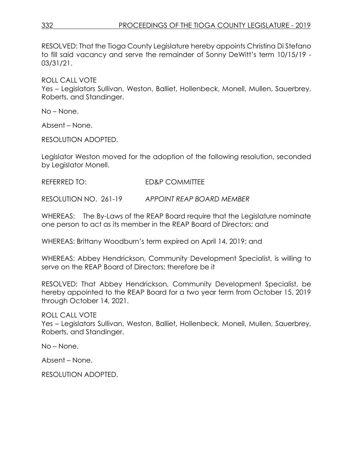RESOLVED: That the Tioga County Legislature hereby appoints Christina Di Stefano to fill said vacancy and serve the remainder of Sonny DeWitt's term 10/15/19 - 03/31/21.

ROLL CALL VOTE

Yes – Legislators Sullivan, Weston, Balliet, Hollenbeck, Monell, Mullen, Sauerbrey, Roberts, and Standinger.

No – None.

Absent – None.

RESOLUTION ADOPTED.

Legislator Weston moved for the adoption of the following resolution, seconded by Legislator Monell.

REFERRED TO: ED&P COMMITTEE

RESOLUTION NO. 261-19 *APPOINT REAP BOARD MEMBER*

WHEREAS: The By-Laws of the REAP Board require that the Legislature nominate one person to act as its member in the REAP Board of Directors; and

WHEREAS: Brittany Woodburn's term expired on April 14, 2019; and

WHEREAS: Abbey Hendrickson, Community Development Specialist, is willing to serve on the REAP Board of Directors; therefore be it

RESOLVED: That Abbey Hendrickson, Community Development Specialist, be hereby appointed to the REAP Board for a two year term from October 15, 2019 through October 14, 2021.

ROLL CALL VOTE

Yes – Legislators Sullivan, Weston, Balliet, Hollenbeck, Monell, Mullen, Sauerbrey, Roberts, and Standinger.

No – None.

Absent – None.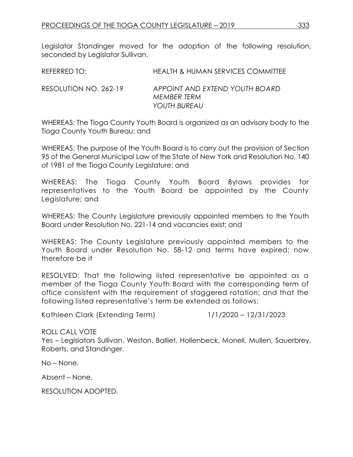Legislator Standinger moved for the adoption of the following resolution, seconded by Legislator Sullivan.

| REFERRED TO:          | <b>HEALTH &amp; HUMAN SERVICES COMMITTEE</b>                  |
|-----------------------|---------------------------------------------------------------|
| RESOLUTION NO. 262-19 | APPOINT AND EXTEND YOUTH BOARD<br>MEMBER TERM<br>YOUTH BUREAU |

WHEREAS: The Tioga County Youth Board is organized as an advisory body to the Tioga County Youth Bureau; and

WHEREAS: The purpose of the Youth Board is to carry out the provision of Section 95 of the General Municipal Law of the State of New York and Resolution No. 140 of 1981 of the Tioga County Legislature; and

WHEREAS: The Tioga County Youth Board Bylaws provides for representatives to the Youth Board be appointed by the County Legislature; and

WHEREAS: The County Legislature previously appointed members to the Youth Board under Resolution No. 221-14 and vacancies exist; and

WHEREAS: The County Legislature previously appointed members to the Youth Board under Resolution No. 58-12 and terms have expired; now therefore be it

RESOLVED: That the following listed representative be appointed as a member of the Tioga County Youth Board with the corresponding term of office consistent with the requirement of staggered rotation; and that the following listed representative's term be extended as follows:

Kathleen Clark (Extending Term) 1/1/2020 – 12/31/2023

ROLL CALL VOTE

Yes – Legislators Sullivan, Weston, Balliet, Hollenbeck, Monell, Mullen, Sauerbrey, Roberts, and Standinger.

No – None.

Absent – None.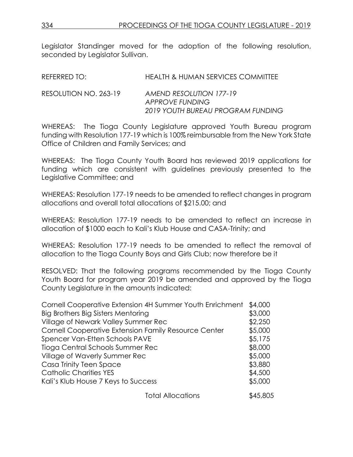Legislator Standinger moved for the adoption of the following resolution, seconded by Legislator Sullivan.

| REFERRED TO:          | <b>HEALTH &amp; HUMAN SERVICES COMMITTEE</b>                                    |
|-----------------------|---------------------------------------------------------------------------------|
| RESOLUTION NO. 263-19 | AMEND RESOLUTION 177-19<br>APPROVE FUNDING<br>2019 YOUTH BUREAU PROGRAM FUNDING |

WHEREAS: The Tioga County Legislature approved Youth Bureau program funding with Resolution 177-19 which is 100% reimbursable from the New York State Office of Children and Family Services; and

WHEREAS: The Tioga County Youth Board has reviewed 2019 applications for funding which are consistent with guidelines previously presented to the Legislative Committee; and

WHEREAS: Resolution 177-19 needs to be amended to reflect changes in program allocations and overall total allocations of \$215.00; and

WHEREAS: Resolution 177-19 needs to be amended to reflect an increase in allocation of \$1000 each to Kali's Klub House and CASA-Trinity; and

WHEREAS: Resolution 177-19 needs to be amended to reflect the removal of allocation to the Tioga County Boys and Girls Club; now therefore be it

RESOLVED: That the following programs recommended by the Tioga County Youth Board for program year 2019 be amended and approved by the Tioga County Legislature in the amounts indicated:

| Cornell Cooperative Extension 4H Summer Youth Enrichment | \$4,000  |
|----------------------------------------------------------|----------|
| Big Brothers Big Sisters Mentoring                       | \$3,000  |
| Village of Newark Valley Summer Rec                      | \$2,250  |
| Cornell Cooperative Extension Family Resource Center     | \$5,000  |
| Spencer Van-Etten Schools PAVE                           | \$5,175  |
| Tioga Central Schools Summer Rec                         | \$8,000  |
| Village of Waverly Summer Rec                            | \$5,000  |
| Casa Trinity Teen Space                                  | \$3,880  |
| <b>Catholic Charities YES</b>                            | \$4,500  |
| Kali's Klub House 7 Keys to Success                      | \$5,000  |
| Total Allocations                                        | \$45,805 |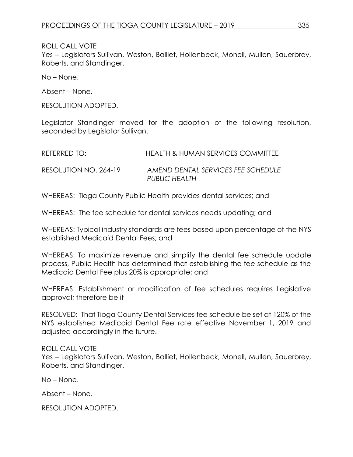ROLL CALL VOTE

Yes – Legislators Sullivan, Weston, Balliet, Hollenbeck, Monell, Mullen, Sauerbrey, Roberts, and Standinger.

No – None.

Absent – None.

RESOLUTION ADOPTED.

Legislator Standinger moved for the adoption of the following resolution, seconded by Legislator Sullivan.

| REFERRED TO:          | <b>HEALTH &amp; HUMAN SERVICES COMMITTEE</b>        |
|-----------------------|-----------------------------------------------------|
| RESOLUTION NO. 264-19 | AMEND DENTAL SERVICES FEE SCHEDULE<br>PUBLIC HEALTH |

WHEREAS: Tioga County Public Health provides dental services; and

WHEREAS: The fee schedule for dental services needs updating; and

WHEREAS: Typical industry standards are fees based upon percentage of the NYS established Medicaid Dental Fees; and

WHEREAS: To maximize revenue and simplify the dental fee schedule update process, Public Health has determined that establishing the fee schedule as the Medicaid Dental Fee plus 20% is appropriate; and

WHEREAS: Establishment or modification of fee schedules requires Legislative approval; therefore be it

RESOLVED: That Tioga County Dental Services fee schedule be set at 120% of the NYS established Medicaid Dental Fee rate effective November 1, 2019 and adjusted accordingly in the future.

### ROLL CALL VOTE

Yes – Legislators Sullivan, Weston, Balliet, Hollenbeck, Monell, Mullen, Sauerbrey, Roberts, and Standinger.

No – None.

Absent – None.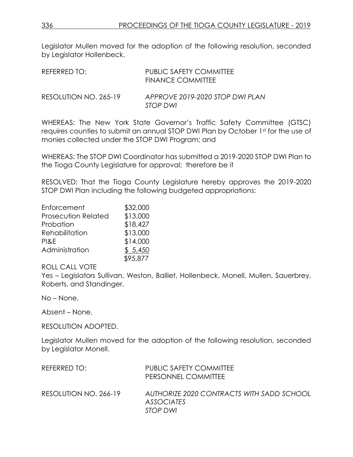Legislator Mullen moved for the adoption of the following resolution, seconded by Legislator Hollenbeck.

| REFERRED TO:          | <b>PUBLIC SAFETY COMMITTEE</b><br>FINANCE COMMITTEE |
|-----------------------|-----------------------------------------------------|
| RESOLUTION NO. 265-19 | APPROVE 2019-2020 STOP DWI PLAN<br>STOP DWI         |

WHEREAS: The New York State Governor's Traffic Safety Committee (GTSC) requires counties to submit an annual STOP DWI Plan by October 1st for the use of monies collected under the STOP DWI Program; and

WHEREAS: The STOP DWI Coordinator has submitted a 2019-2020 STOP DWI Plan to the Tioga County Legislature for approval; therefore be it

RESOLVED: That the Tioga County Legislature hereby approves the 2019-2020 STOP DWI Plan including the following budgeted appropriations:

| Enforcement                | \$32,000 |
|----------------------------|----------|
| <b>Prosecution Related</b> | \$13,000 |
| Probation                  | \$18,427 |
| Rehabilitation             | \$13,000 |
| PI&E                       | \$14,000 |
| Administration             | \$5,450  |
|                            | \$95,877 |

ROLL CALL VOTE

Yes – Legislators Sullivan, Weston, Balliet, Hollenbeck, Monell, Mullen, Sauerbrey, Roberts, and Standinger.

No – None.

Absent – None.

RESOLUTION ADOPTED.

Legislator Mullen moved for the adoption of the following resolution, seconded by Legislator Monell.

| REFERRED TO:          | <b>PUBLIC SAFETY COMMITTEE</b><br>PERSONNEL COMMITTEE                      |
|-----------------------|----------------------------------------------------------------------------|
| RESOLUTION NO. 266-19 | AUTHORIZE 2020 CONTRACTS WITH SADD SCHOOL<br><b>ASSOCIATES</b><br>STOP DWI |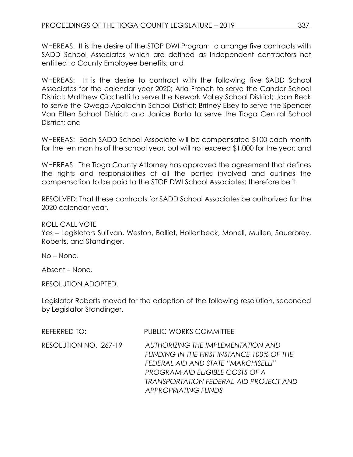WHEREAS: It is the desire of the STOP DWI Program to arrange five contracts with SADD School Associates which are defined as Independent contractors not entitled to County Employee benefits; and

WHEREAS: It is the desire to contract with the following five SADD School Associates for the calendar year 2020; Aria French to serve the Candor School District; Matthew Cicchetti to serve the Newark Valley School District; Joan Beck to serve the Owego Apalachin School District; Britney Elsey to serve the Spencer Van Etten School District; and Janice Barto to serve the Tioga Central School District; and

WHEREAS: Each SADD School Associate will be compensated \$100 each month for the ten months of the school year, but will not exceed \$1,000 for the year; and

WHEREAS: The Tioga County Attorney has approved the agreement that defines the rights and responsibilities of all the parties involved and outlines the compensation to be paid to the STOP DWI School Associates; therefore be it

RESOLVED: That these contracts for SADD School Associates be authorized for the 2020 calendar year.

### ROLL CALL VOTE

Yes – Legislators Sullivan, Weston, Balliet, Hollenbeck, Monell, Mullen, Sauerbrey, Roberts, and Standinger.

No – None.

Absent – None.

RESOLUTION ADOPTED.

Legislator Roberts moved for the adoption of the following resolution, seconded by Legislator Standinger.

| REFERRED TO:          | <b>PUBLIC WORKS COMMITTEE</b>                                                                                                                                                                                                                   |
|-----------------------|-------------------------------------------------------------------------------------------------------------------------------------------------------------------------------------------------------------------------------------------------|
| RESOLUTION NO. 267-19 | AUTHORIZING THE IMPLEMENTATION AND<br>FUNDING IN THE FIRST INSTANCE 100% OF THE<br>FEDERAL AID AND STATE "MARCHISELLI"<br><b>PROGRAM-AID ELIGIBLE COSTS OF A</b><br><b>TRANSPORTATION FEDERAL-AID PROJECT AND</b><br><b>APPROPRIATING FUNDS</b> |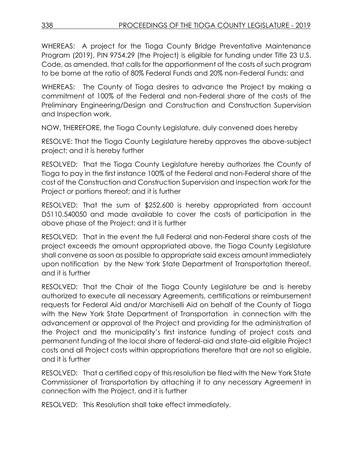WHEREAS: A project for the Tioga County Bridge Preventative Maintenance Program (2019), PIN 9754.29 (the Project) is eligible for funding under Title 23 U.S. Code, as amended, that calls for the apportionment of the costs of such program to be borne at the ratio of 80% Federal Funds and 20% non-Federal Funds; and

WHEREAS: The County of Tioga desires to advance the Project by making a commitment of 100% of the Federal and non-Federal share of the costs of the Preliminary Engineering/Design and Construction and Construction Supervision and Inspection work.

NOW, THEREFORE, the Tioga County Legislature, duly convened does hereby

RESOLVE: That the Tioga County Legislature hereby approves the above-subject project; and it is hereby further

RESOLVED: That the Tioga County Legislature hereby authorizes the County of Tioga to pay in the first instance 100% of the Federal and non-Federal share of the cost of the Construction and Construction Supervision and Inspection work for the Project or portions thereof; and it is further

RESOLVED: That the sum of \$252,600 is hereby appropriated from account D5110.540050 and made available to cover the costs of participation in the above phase of the Project; and it is further

RESOLVED: That in the event the full Federal and non-Federal share costs of the project exceeds the amount appropriated above, the Tioga County Legislature shall convene as soon as possible to appropriate said excess amount immediately upon notification by the New York State Department of Transportation thereof, and it is further

RESOLVED: That the Chair of the Tioga County Legislature be and is hereby authorized to execute all necessary Agreements, certifications or reimbursement requests for Federal Aid and/or Marchiselli Aid on behalf of the County of Tioga with the New York State Department of Transportation in connection with the advancement or approval of the Project and providing for the administration of the Project and the municipality's first instance funding of project costs and permanent funding of the local share of federal-aid and state-aid eligible Project costs and all Project costs within appropriations therefore that are not so eligible, and it is further

RESOLVED: That a certified copy of this resolution be filed with the New York State Commissioner of Transportation by attaching it to any necessary Agreement in connection with the Project, and it is further

RESOLVED: This Resolution shall take effect immediately.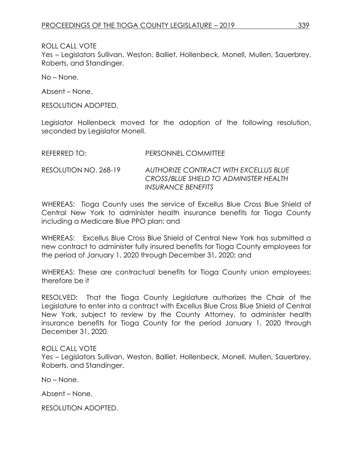ROLL CALL VOTE

Yes – Legislators Sullivan, Weston, Balliet, Hollenbeck, Monell, Mullen, Sauerbrey, Roberts, and Standinger.

No – None.

Absent – None.

RESOLUTION ADOPTED.

Legislator Hollenbeck moved for the adoption of the following resolution, seconded by Legislator Monell.

| REFERRED TO:          | PERSONNEL COMMITTEE                                                                                   |
|-----------------------|-------------------------------------------------------------------------------------------------------|
| RESOLUTION NO. 268-19 | AUTHORIZE CONTRACT WITH EXCELLUS BLUE<br>CROSS/BLUE SHIELD TO ADMINISTER HEALTH<br>INSURANCE BENEFITS |

WHEREAS: Tioga County uses the service of Excellus Blue Cross Blue Shield of Central New York to administer health insurance benefits for Tioga County including a Medicare Blue PPO plan; and

WHEREAS: Excellus Blue Cross Blue Shield of Central New York has submitted a new contract to administer fully insured benefits for Tioga County employees for the period of January 1, 2020 through December 31, 2020; and

WHEREAS: These are contractual benefits for Tioga County union employees; therefore be it

RESOLVED: That the Tioga County Legislature authorizes the Chair of the Legislature to enter into a contract with Excellus Blue Cross Blue Shield of Central New York, subject to review by the County Attorney, to administer health insurance benefits for Tioga County for the period January 1, 2020 through December 31, 2020.

## ROLL CALL VOTE

Yes – Legislators Sullivan, Weston, Balliet, Hollenbeck, Monell, Mullen, Sauerbrey, Roberts, and Standinger.

No – None.

Absent – None.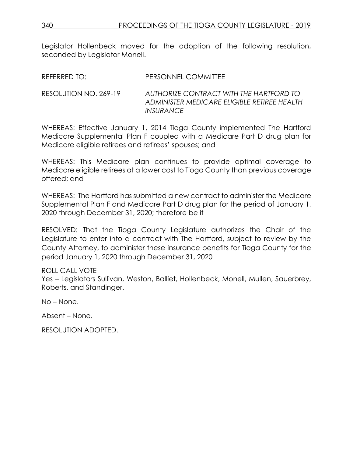Legislator Hollenbeck moved for the adoption of the following resolution, seconded by Legislator Monell.

| REFERRED TO:          | PERSONNEL COMMITTEE                                                                                               |
|-----------------------|-------------------------------------------------------------------------------------------------------------------|
| RESOLUTION NO. 269-19 | AUTHORIZE CONTRACT WITH THE HARTFORD TO<br>ADMINISTER MEDICARE ELIGIBLE RETIREE HEALTH<br><i><b>INSURANCE</b></i> |

WHEREAS: Effective January 1, 2014 Tioga County implemented The Hartford Medicare Supplemental Plan F coupled with a Medicare Part D drug plan for Medicare eligible retirees and retirees' spouses; and

WHEREAS: This Medicare plan continues to provide optimal coverage to Medicare eligible retirees at a lower cost to Tioga County than previous coverage offered; and

WHEREAS: The Hartford has submitted a new contract to administer the Medicare Supplemental Plan F and Medicare Part D drug plan for the period of January 1, 2020 through December 31, 2020; therefore be it

RESOLVED: That the Tioga County Legislature authorizes the Chair of the Legislature to enter into a contract with The Hartford, subject to review by the County Attorney, to administer these insurance benefits for Tioga County for the period January 1, 2020 through December 31, 2020

## ROLL CALL VOTE

Yes – Legislators Sullivan, Weston, Balliet, Hollenbeck, Monell, Mullen, Sauerbrey, Roberts, and Standinger.

No – None.

Absent – None.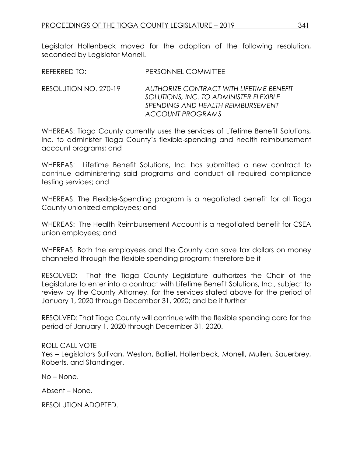Legislator Hollenbeck moved for the adoption of the following resolution, seconded by Legislator Monell.

RESOLUTION NO. 270-19 *AUTHORIZE CONTRACT WITH LIFETIME BENEFIT SOLUTIONS, INC. TO ADMINISTER FLEXIBLE SPENDING AND HEALTH REIMBURSEMENT ACCOUNT PROGRAMS*

WHEREAS: Tioga County currently uses the services of Lifetime Benefit Solutions, Inc. to administer Tioga County's flexible-spending and health reimbursement account programs; and

WHEREAS: Lifetime Benefit Solutions, Inc. has submitted a new contract to continue administering said programs and conduct all required compliance testing services; and

WHEREAS: The Flexible-Spending program is a negotiated benefit for all Tioga County unionized employees; and

WHEREAS: The Health Reimbursement Account is a negotiated benefit for CSEA union employees; and

WHEREAS: Both the employees and the County can save tax dollars on money channeled through the flexible spending program; therefore be it

RESOLVED: That the Tioga County Legislature authorizes the Chair of the Legislature to enter into a contract with Lifetime Benefit Solutions, Inc., subject to review by the County Attorney, for the services stated above for the period of January 1, 2020 through December 31, 2020; and be it further

RESOLVED: That Tioga County will continue with the flexible spending card for the period of January 1, 2020 through December 31, 2020.

## ROLL CALL VOTE

Yes – Legislators Sullivan, Weston, Balliet, Hollenbeck, Monell, Mullen, Sauerbrey, Roberts, and Standinger.

No – None.

Absent – None.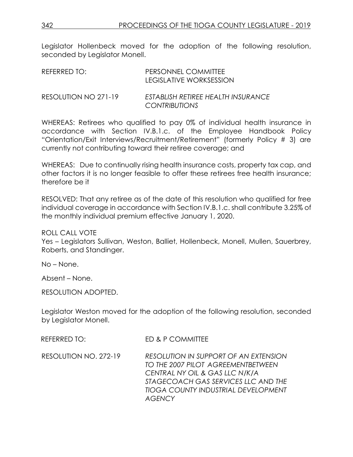Legislator Hollenbeck moved for the adoption of the following resolution, seconded by Legislator Monell.

| REFERRED TO:         | PERSONNEL COMMITTEE<br>LEGISLATIVE WORKSESSION             |
|----------------------|------------------------------------------------------------|
| RESOLUTION NO 271-19 | ESTABLISH RETIREE HEALTH INSURANCE<br><b>CONTRIBUTIONS</b> |

WHEREAS: Retirees who qualified to pay 0% of individual health insurance in accordance with Section IV.B.1.c. of the Employee Handbook Policy "Orientation/Exit Interviews/Recruitment/Retirement" (formerly Policy # 3) are currently not contributing toward their retiree coverage; and

WHEREAS: Due to continually rising health insurance costs, property tax cap, and other factors it is no longer feasible to offer these retirees free health insurance; therefore be it

RESOLVED: That any retiree as of the date of this resolution who qualified for free individual coverage in accordance with Section IV.B.1.c. shall contribute 3.25% of the monthly individual premium effective January 1, 2020.

ROLL CALL VOTE

Yes – Legislators Sullivan, Weston, Balliet, Hollenbeck, Monell, Mullen, Sauerbrey, Roberts, and Standinger.

No – None.

Absent – None.

RESOLUTION ADOPTED.

Legislator Weston moved for the adoption of the following resolution, seconded by Legislator Monell.

| REFERRED TO:          | ED & P COMMITTEE                                                                                                                                                                                                           |
|-----------------------|----------------------------------------------------------------------------------------------------------------------------------------------------------------------------------------------------------------------------|
| RESOLUTION NO. 272-19 | <b>RESOLUTION IN SUPPORT OF AN EXTENSION</b><br>TO THE 2007 PILOT AGREEMENTBETWEEN<br>CENTRAL NY OIL & GAS LLC N/K/A<br>STAGECOACH GAS SERVICES LLC AND THE<br><b>TIOGA COUNTY INDUSTRIAL DEVELOPMENT</b><br><b>AGENCY</b> |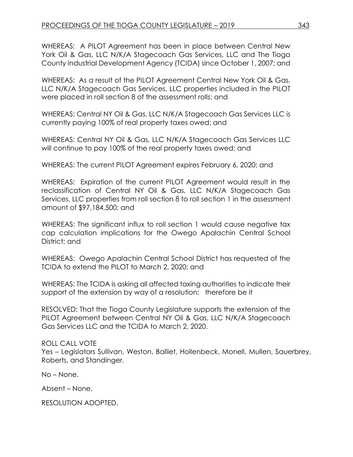WHEREAS: A PILOT Agreement has been in place between Central New York Oil & Gas, LLC N/K/A Stagecoach Gas Services, LLC and The Tioga County Industrial Development Agency (TCIDA) since October 1, 2007; and

WHEREAS: As a result of the PILOT Agreement Central New York Oil & Gas, LLC N/K/A Stagecoach Gas Services, LLC properties included in the PILOT were placed in roll section 8 of the assessment rolls; and

WHEREAS: Central NY Oil & Gas, LLC N/K/A Stagecoach Gas Services LLC is currently paying 100% of real property taxes owed; and

WHEREAS: Central NY Oil & Gas, LLC N/K/A Stagecoach Gas Services LLC will continue to pay 100% of the real property taxes owed; and

WHEREAS: The current PILOT Agreement expires February 6, 2020; and

WHEREAS: Expiration of the current PILOT Agreement would result in the reclassification of Central NY Oil & Gas, LLC N/K/A Stagecoach Gas Services, LLC properties from roll section 8 to roll section 1 in the assessment amount of \$97,184,500; and

WHEREAS: The significant influx to roll section 1 would cause negative tax cap calculation implications for the Owego Apalachin Central School District; and

WHEREAS: Owego Apalachin Central School District has requested of the TCIDA to extend the PILOT to March 2, 2020; and

WHEREAS: The TCIDA is asking all affected taxing authorities to indicate their support of the extension by way of a resolution; therefore be it

RESOLVED: That the Tioga County Legislature supports the extension of the PILOT Agreement between Central NY Oil & Gas, LLC N/K/A Stagecoach Gas Services LLC and the TCIDA to March 2, 2020.

# ROLL CALL VOTE

Yes – Legislators Sullivan, Weston, Balliet, Hollenbeck, Monell, Mullen, Sauerbrey, Roberts, and Standinger.

No – None.

Absent – None.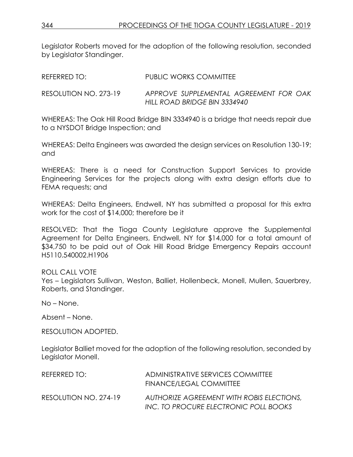Legislator Roberts moved for the adoption of the following resolution, seconded by Legislator Standinger.

| REFERRED TO:          | PUBLIC WORKS COMMITTEE                                                 |
|-----------------------|------------------------------------------------------------------------|
| RESOLUTION NO. 273-19 | APPROVE SUPPLEMENTAL AGREEMENT FOR OAK<br>HILL ROAD BRIDGE BIN 3334940 |

WHEREAS: The Oak Hill Road Bridge BIN 3334940 is a bridge that needs repair due to a NYSDOT Bridge Inspection; and

WHEREAS: Delta Engineers was awarded the design services on Resolution 130-19; and

WHEREAS: There is a need for Construction Support Services to provide Engineering Services for the projects along with extra design efforts due to FEMA requests; and

WHEREAS: Delta Engineers, Endwell, NY has submitted a proposal for this extra work for the cost of \$14,000; therefore be it

RESOLVED: That the Tioga County Legislature approve the Supplemental Agreement for Delta Engineers, Endwell, NY for \$14,000 for a total amount of \$34,750 to be paid out of Oak Hill Road Bridge Emergency Repairs account H5110.540002.H1906

### ROLL CALL VOTE

Yes – Legislators Sullivan, Weston, Balliet, Hollenbeck, Monell, Mullen, Sauerbrey, Roberts, and Standinger.

No – None.

Absent – None.

RESOLUTION ADOPTED.

Legislator Balliet moved for the adoption of the following resolution, seconded by Legislator Monell.

| REFERRED TO:          | ADMINISTRATIVE SERVICES COMMITTEE<br>FINANCE/LEGAL COMMITTEE                       |
|-----------------------|------------------------------------------------------------------------------------|
| RESOLUTION NO. 274-19 | AUTHORIZE AGREEMENT WITH ROBIS ELECTIONS.<br>INC. TO PROCURE ELECTRONIC POLL BOOKS |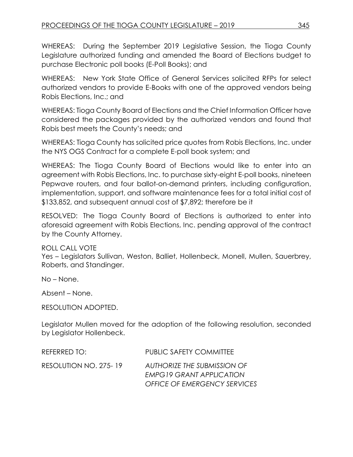WHEREAS: During the September 2019 Legislative Session, the Tioga County Legislature authorized funding and amended the Board of Elections budget to purchase Electronic poll books (E-Poll Books); and

WHEREAS: New York State Office of General Services solicited RFPs for select authorized vendors to provide E-Books with one of the approved vendors being Robis Elections, Inc.; and

WHEREAS: Tioga County Board of Elections and the Chief Information Officer have considered the packages provided by the authorized vendors and found that Robis best meets the County's needs; and

WHEREAS: Tioga County has solicited price quotes from Robis Elections, Inc. under the NYS OGS Contract for a complete E-poll book system; and

WHEREAS: The Tioga County Board of Elections would like to enter into an agreement with Robis Elections, Inc. to purchase sixty-eight E-poll books, nineteen Pepwave routers, and four ballot-on-demand printers, including configuration, implementation, support, and software maintenance fees for a total initial cost of \$133,852, and subsequent annual cost of \$7,892; therefore be it

RESOLVED: The Tioga County Board of Elections is authorized to enter into aforesaid agreement with Robis Elections, Inc. pending approval of the contract by the County Attorney.

ROLL CALL VOTE

Yes – Legislators Sullivan, Weston, Balliet, Hollenbeck, Monell, Mullen, Sauerbrey, Roberts, and Standinger.

No – None.

Absent – None.

RESOLUTION ADOPTED.

Legislator Mullen moved for the adoption of the following resolution, seconded by Legislator Hollenbeck.

| REFERRED TO:          | PUBLIC SAFETY COMMITTEE                                        |
|-----------------------|----------------------------------------------------------------|
| RESOLUTION NO. 275-19 | AUTHORIZE THE SUBMISSION OF<br><b>EMPG19 GRANT APPLICATION</b> |
|                       | <b>OFFICE OF EMERGENCY SERVICES</b>                            |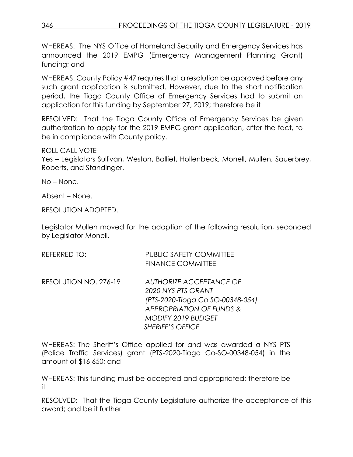WHEREAS: The NYS Office of Homeland Security and Emergency Services has announced the 2019 EMPG (Emergency Management Planning Grant) funding; and

WHEREAS: County Policy #47 requires that a resolution be approved before any such grant application is submitted. However, due to the short notification period, the Tioga County Office of Emergency Services had to submit an application for this funding by September 27, 2019; therefore be it

RESOLVED: That the Tioga County Office of Emergency Services be given authorization to apply for the 2019 EMPG grant application, after the fact, to be in compliance with County policy.

ROLL CALL VOTE

Yes – Legislators Sullivan, Weston, Balliet, Hollenbeck, Monell, Mullen, Sauerbrey, Roberts, and Standinger.

No – None.

Absent – None.

RESOLUTION ADOPTED.

Legislator Mullen moved for the adoption of the following resolution, seconded by Legislator Monell.

| REFERRED TO:          | <b>PUBLIC SAFETY COMMITTEE</b><br><b>FINANCE COMMITTEE</b>                                                               |
|-----------------------|--------------------------------------------------------------------------------------------------------------------------|
| RESOLUTION NO. 276-19 | AUTHORIZE ACCEPTANCE OF<br>2020 NYS PTS GRANT<br>(PTS-2020-Tioga Co SO-00348-054)<br><b>APPROPRIATION OF FUNDS &amp;</b> |
|                       | <b>MODIFY 2019 BUDGET</b><br><b>SHERIFF'S OFFICE</b>                                                                     |

WHEREAS: The Sheriff's Office applied for and was awarded a NYS PTS (Police Traffic Services) grant (PTS-2020-Tioga Co-SO-00348-054) in the amount of \$16,650; and

WHEREAS: This funding must be accepted and appropriated; therefore be it

RESOLVED: That the Tioga County Legislature authorize the acceptance of this award; and be it further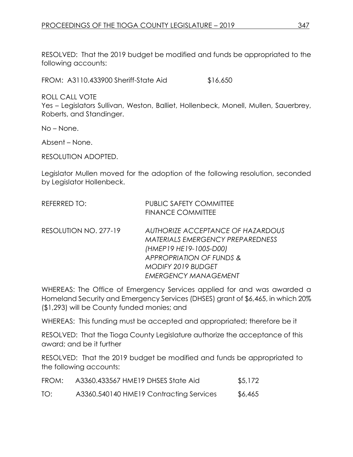RESOLVED: That the 2019 budget be modified and funds be appropriated to the following accounts:

FROM: A3110.433900 Sheriff-State Aid \$16,650

ROLL CALL VOTE

Yes – Legislators Sullivan, Weston, Balliet, Hollenbeck, Monell, Mullen, Sauerbrey, Roberts, and Standinger.

No – None.

Absent – None.

RESOLUTION ADOPTED.

Legislator Mullen moved for the adoption of the following resolution, seconded by Legislator Hollenbeck.

| REFERRED TO:          | <b>PUBLIC SAFETY COMMITTEE</b>          |
|-----------------------|-----------------------------------------|
|                       | <b>FINANCE COMMITTEE</b>                |
| RESOLUTION NO. 277-19 | AUTHORIZE ACCEPTANCE OF HAZARDOUS       |
|                       | <b>MATERIALS EMERGENCY PREPAREDNESS</b> |
|                       | (HMEP19 HE19-1005-D00)                  |
|                       | <b>APPROPRIATION OF FUNDS &amp;</b>     |
|                       | MODIFY 2019 BUDGET                      |
|                       | <b>EMERGENCY MANAGEMENT</b>             |

WHEREAS: The Office of Emergency Services applied for and was awarded a Homeland Security and Emergency Services (DHSES) grant of \$6,465, in which 20% (\$1,293) will be County funded monies; and

WHEREAS: This funding must be accepted and appropriated; therefore be it

RESOLVED: That the Tioga County Legislature authorize the acceptance of this award; and be it further

RESOLVED: That the 2019 budget be modified and funds be appropriated to the following accounts:

| FROM: | A3360.433567 HME19 DHSES State Aid      | \$5,172 |
|-------|-----------------------------------------|---------|
| TO:   | A3360.540140 HME19 Contracting Services | \$6,465 |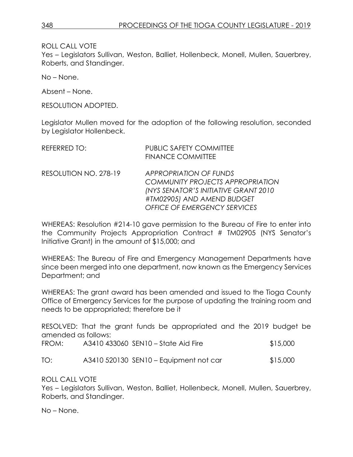ROLL CALL VOTE

Yes – Legislators Sullivan, Weston, Balliet, Hollenbeck, Monell, Mullen, Sauerbrey, Roberts, and Standinger.

No – None.

Absent – None.

RESOLUTION ADOPTED.

Legislator Mullen moved for the adoption of the following resolution, seconded by Legislator Hollenbeck.

| <b>REFERRED TO:</b>   | <b>PUBLIC SAFETY COMMITTEE</b><br><b>FINANCE COMMITTEE</b>                                                                                                                                    |
|-----------------------|-----------------------------------------------------------------------------------------------------------------------------------------------------------------------------------------------|
| RESOLUTION NO. 278-19 | <b>APPROPRIATION OF FUNDS</b><br><b>COMMUNITY PROJECTS APPROPRIATION</b><br><b>(NYS SENATOR'S INITIATIVE GRANT 2010)</b><br>#TM02905) AND AMEND BUDGET<br><b>OFFICE OF EMERGENCY SERVICES</b> |

WHEREAS: Resolution #214-10 gave permission to the Bureau of Fire to enter into the Community Projects Appropriation Contract # TM02905 (NYS Senator's Initiative Grant) in the amount of \$15,000; and

WHEREAS: The Bureau of Fire and Emergency Management Departments have since been merged into one department, now known as the Emergency Services Department; and

WHEREAS: The grant award has been amended and issued to the Tioga County Office of Emergency Services for the purpose of updating the training room and needs to be appropriated; therefore be it

RESOLVED: That the grant funds be appropriated and the 2019 budget be amended as follows:

| A3410 433060 SEN10 – State Aid Fire<br>FROM: | \$15,000 |
|----------------------------------------------|----------|
|                                              |          |

TO: A3410 520130 SEN10 – Equipment not car \$15,000

ROLL CALL VOTE

Yes – Legislators Sullivan, Weston, Balliet, Hollenbeck, Monell, Mullen, Sauerbrey, Roberts, and Standinger.

No – None.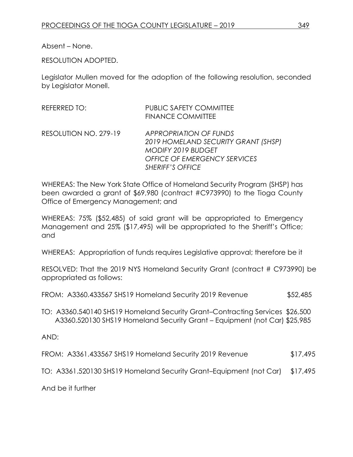Absent – None.

RESOLUTION ADOPTED.

Legislator Mullen moved for the adoption of the following resolution, seconded by Legislator Monell.

| <b>REFERRED TO:</b>   | <b>PUBLIC SAFETY COMMITTEE</b><br><b>FINANCE COMMITTEE</b>                                                                                                          |
|-----------------------|---------------------------------------------------------------------------------------------------------------------------------------------------------------------|
| RESOLUTION NO. 279-19 | <b>APPROPRIATION OF FUNDS</b><br>2019 HOMELAND SECURITY GRANT (SHSP)<br><b>MODIFY 2019 BUDGET</b><br><b>OFFICE OF EMERGENCY SERVICES</b><br><b>SHERIFF'S OFFICE</b> |

WHEREAS: The New York State Office of Homeland Security Program (SHSP) has been awarded a grant of \$69,980 (contract #C973990) to the Tioga County Office of Emergency Management; and

WHEREAS: 75% (\$52,485) of said grant will be appropriated to Emergency Management and 25% (\$17,495) will be appropriated to the Sheriff's Office; and

WHEREAS: Appropriation of funds requires Legislative approval; therefore be it

RESOLVED: That the 2019 NYS Homeland Security Grant (contract # C973990) be appropriated as follows:

FROM: A3360.433567 SHS19 Homeland Security 2019 Revenue \$52,485

TO: A3360.540140 SHS19 Homeland Security Grant–Contracting Services \$26,500 A3360.520130 SHS19 Homeland Security Grant – Equipment (not Car) \$25,985

AND:

FROM: A3361.433567 SHS19 Homeland Security 2019 Revenue \$17,495

TO: A3361.520130 SHS19 Homeland Security Grant–Equipment (not Car) \$17,495

And be it further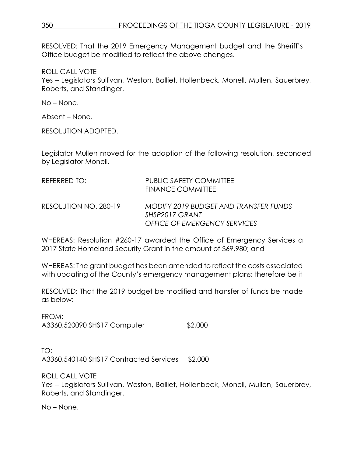RESOLVED: That the 2019 Emergency Management budget and the Sheriff's Office budget be modified to reflect the above changes.

ROLL CALL VOTE

Yes – Legislators Sullivan, Weston, Balliet, Hollenbeck, Monell, Mullen, Sauerbrey, Roberts, and Standinger.

No – None.

Absent – None.

RESOLUTION ADOPTED.

Legislator Mullen moved for the adoption of the following resolution, seconded by Legislator Monell.

| REFERRED TO:          | <b>PUBLIC SAFETY COMMITTEE</b><br><b>FINANCE COMMITTEE</b>                                     |
|-----------------------|------------------------------------------------------------------------------------------------|
| RESOLUTION NO. 280-19 | MODIFY 2019 BUDGET AND TRANSFER FUNDS<br>SHSP2017 GRANT<br><b>OFFICE OF EMERGENCY SERVICES</b> |

WHEREAS: Resolution #260-17 awarded the Office of Emergency Services a 2017 State Homeland Security Grant in the amount of \$69,980; and

WHEREAS: The grant budget has been amended to reflect the costs associated with updating of the County's emergency management plans; therefore be it

RESOLVED: That the 2019 budget be modified and transfer of funds be made as below:

FROM: A3360.520090 SHS17 Computer \$2,000

TO: A3360.540140 SHS17 Contracted Services \$2,000

ROLL CALL VOTE Yes – Legislators Sullivan, Weston, Balliet, Hollenbeck, Monell, Mullen, Sauerbrey, Roberts, and Standinger.

No – None.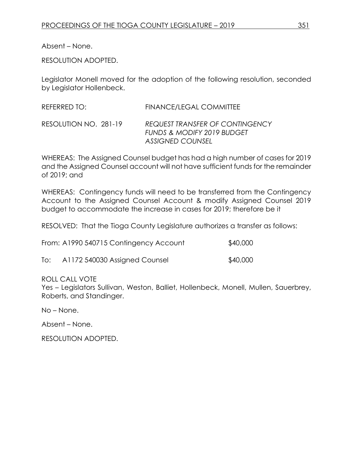Absent – None.

RESOLUTION ADOPTED.

Legislator Monell moved for the adoption of the following resolution, seconded by Legislator Hollenbeck.

REFERRED TO: FINANCE/LEGAL COMMITTEE

RESOLUTION NO. 281-19 *REQUEST TRANSFER OF CONTINGENCY FUNDS & MODIFY 2019 BUDGET ASSIGNED COUNSEL*

WHEREAS: The Assigned Counsel budget has had a high number of cases for 2019 and the Assigned Counsel account will not have sufficient funds for the remainder of 2019; and

WHEREAS: Contingency funds will need to be transferred from the Contingency Account to the Assigned Counsel Account & modify Assigned Counsel 2019 budget to accommodate the increase in cases for 2019; therefore be it

RESOLVED: That the Tioga County Legislature authorizes a transfer as follows:

From: A1990 540715 Contingency Account \$40,000

To: A1172 540030 Assigned Counsel \$40,000

ROLL CALL VOTE

Yes – Legislators Sullivan, Weston, Balliet, Hollenbeck, Monell, Mullen, Sauerbrey, Roberts, and Standinger.

No – None.

Absent – None.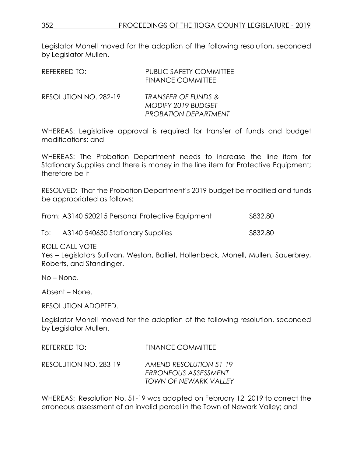Legislator Monell moved for the adoption of the following resolution, seconded by Legislator Mullen.

| REFERRED TO:          | <b>PUBLIC SAFETY COMMITTEE</b><br><b>FINANCE COMMITTEE</b>                                 |
|-----------------------|--------------------------------------------------------------------------------------------|
| RESOLUTION NO. 282-19 | <b>TRANSFER OF FUNDS &amp;</b><br><b>MODIFY 2019 BUDGET</b><br><b>PROBATION DEPARTMENT</b> |

WHEREAS: Legislative approval is required for transfer of funds and budget modifications; and

WHEREAS: The Probation Department needs to increase the line item for Stationary Supplies and there is money in the line item for Protective Equipment; therefore be it

RESOLVED: That the Probation Department's 2019 budget be modified and funds be appropriated as follows:

| From: A3140 520215 Personal Protective Equipment | \$832.80 |
|--------------------------------------------------|----------|
|                                                  |          |

To: A3140 540630 Stationary Supplies \$832.80

ROLL CALL VOTE

Yes – Legislators Sullivan, Weston, Balliet, Hollenbeck, Monell, Mullen, Sauerbrey, Roberts, and Standinger.

No – None.

Absent – None.

RESOLUTION ADOPTED.

Legislator Monell moved for the adoption of the following resolution, seconded by Legislator Mullen.

REFERRED TO: FINANCE COMMITTEE

RESOLUTION NO. 283-19 *AMEND RESOLUTION 51-19 ERRONEOUS ASSESSMENT TOWN OF NEWARK VALLEY* 

WHEREAS: Resolution No. 51-19 was adopted on February 12, 2019 to correct the erroneous assessment of an invalid parcel in the Town of Newark Valley; and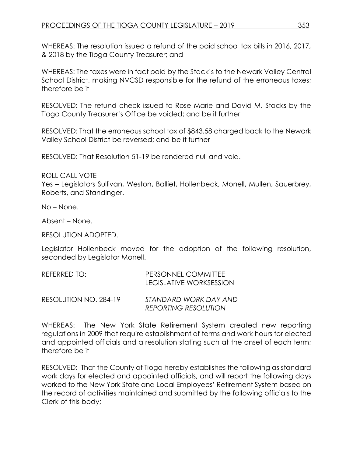WHEREAS: The resolution issued a refund of the paid school tax bills in 2016, 2017, & 2018 by the Tioga County Treasurer; and

WHEREAS: The taxes were in fact paid by the Stack's to the Newark Valley Central School District, making NVCSD responsible for the refund of the erroneous taxes; therefore be it

RESOLVED: The refund check issued to Rose Marie and David M. Stacks by the Tioga County Treasurer's Office be voided; and be it further

RESOLVED: That the erroneous school tax of \$843.58 charged back to the Newark Valley School District be reversed; and be it further

RESOLVED: That Resolution 51-19 be rendered null and void.

ROLL CALL VOTE

Yes – Legislators Sullivan, Weston, Balliet, Hollenbeck, Monell, Mullen, Sauerbrey, Roberts, and Standinger.

No – None.

Absent – None.

RESOLUTION ADOPTED.

Legislator Hollenbeck moved for the adoption of the following resolution, seconded by Legislator Monell.

|              | ___ _ _ _                  |
|--------------|----------------------------|
|              | LEGISLATIVE WORKSESSION    |
| REFERRED TO: | <b>PERSONNEL COMMITTEE</b> |

RESOLUTION NO. 284-19 *STANDARD WORK DAY AND REPORTING RESOLUTION*

WHEREAS: The New York State Retirement System created new reporting regulations in 2009 that require establishment of terms and work hours for elected and appointed officials and a resolution stating such at the onset of each term; therefore be it

RESOLVED: That the County of Tioga hereby establishes the following as standard work days for elected and appointed officials, and will report the following days worked to the New York State and Local Employees' Retirement System based on the record of activities maintained and submitted by the following officials to the Clerk of this body;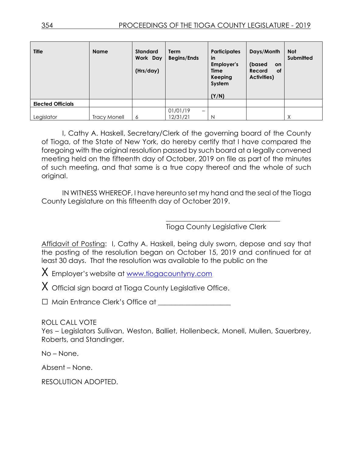| <b>Title</b>             | <b>Name</b>  | <b>Standard</b><br>Work Day<br>(Hrs/day) | Term<br><b>Begins/Ends</b>           | <b>Participates</b><br>in<br>Employer's<br><b>Time</b><br><b>Keeping</b><br>System<br>(Y/N) | Days/Month<br>(based<br><b>on</b><br><b>of</b><br>Record<br><b>Activities</b> ) | <b>Not</b><br><b>Submitted</b> |
|--------------------------|--------------|------------------------------------------|--------------------------------------|---------------------------------------------------------------------------------------------|---------------------------------------------------------------------------------|--------------------------------|
| <b>Elected Officials</b> |              |                                          |                                      |                                                                                             |                                                                                 |                                |
|                          |              |                                          | 01/01/19<br>$\overline{\phantom{0}}$ |                                                                                             |                                                                                 |                                |
| Legislator               | Tracy Monell | 6                                        | 12/31/21                             | N                                                                                           |                                                                                 | Χ                              |

I, Cathy A. Haskell, Secretary/Clerk of the governing board of the County of Tioga, of the State of New York, do hereby certify that I have compared the foregoing with the original resolution passed by such board at a legally convened meeting held on the fifteenth day of October, 2019 on file as part of the minutes of such meeting, and that same is a true copy thereof and the whole of such original.

IN WITNESS WHEREOF, I have hereunto set my hand and the seal of the Tioga County Legislature on this fifteenth day of October 2019.

Tioga County Legislative Clerk

\_\_\_\_\_\_\_\_\_\_\_\_\_\_\_\_\_\_\_\_\_\_\_\_\_\_\_\_\_\_\_\_\_

Affidavit of Posting: I, Cathy A. Haskell, being duly sworn, depose and say that the posting of the resolution began on October 15, 2019 and continued for at least 30 days. That the resolution was available to the public on the

X Employer's website at [www.tiogacountyny.com](http://www.tiogacountyny.com/)

 $X$  Official sign board at Tioga County Legislative Office.

□ Main Entrance Clerk's Office at \_\_\_\_\_\_\_\_\_\_\_\_\_\_\_\_\_\_\_\_\_

ROLL CALL VOTE

Yes – Legislators Sullivan, Weston, Balliet, Hollenbeck, Monell, Mullen, Sauerbrey, Roberts, and Standinger.

No – None.

Absent – None.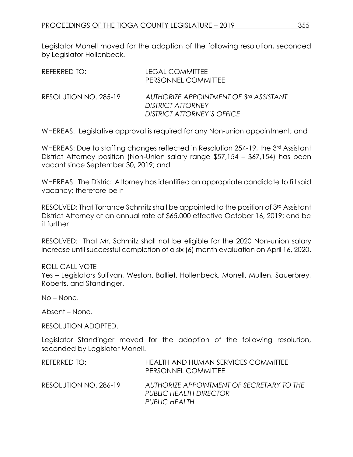Legislator Monell moved for the adoption of the following resolution, seconded by Legislator Hollenbeck.

| REFERRED TO:          | <b>LEGAL COMMITTEE</b><br>PERSONNEL COMMITTEE                                             |
|-----------------------|-------------------------------------------------------------------------------------------|
| RESOLUTION NO. 285-19 | AUTHORIZE APPOINTMENT OF 3rd ASSISTANT<br>DISTRICT ATTORNEY<br>DISTRICT ATTORNEY'S OFFICE |

WHEREAS: Legislative approval is required for any Non-union appointment; and

WHEREAS: Due to staffing changes reflected in Resolution 254-19, the 3<sup>rd</sup> Assistant District Attorney position (Non-Union salary range \$57,154 – \$67,154) has been vacant since September 30, 2019; and

WHEREAS: The District Attorney has identified an appropriate candidate to fill said vacancy; therefore be it

RESOLVED: That Torrance Schmitz shall be appointed to the position of 3rd Assistant District Attorney at an annual rate of \$65,000 effective October 16, 2019; and be it further

RESOLVED: That Mr. Schmitz shall not be eligible for the 2020 Non-union salary increase until successful completion of a six (6) month evaluation on April 16, 2020.

### ROLL CALL VOTE

Yes – Legislators Sullivan, Weston, Balliet, Hollenbeck, Monell, Mullen, Sauerbrey, Roberts, and Standinger.

No – None.

Absent – None.

RESOLUTION ADOPTED.

Legislator Standinger moved for the adoption of the following resolution, seconded by Legislator Monell.

| REFERRED TO:          | HEALTH AND HUMAN SERVICES COMMITTEE<br>PERSONNEL COMMITTEE                                  |
|-----------------------|---------------------------------------------------------------------------------------------|
| RESOLUTION NO. 286-19 | AUTHORIZE APPOINTMENT OF SECRETARY TO THE<br><b>PUBLIC HEALTH DIRECTOR</b><br>PUBLIC HEALTH |